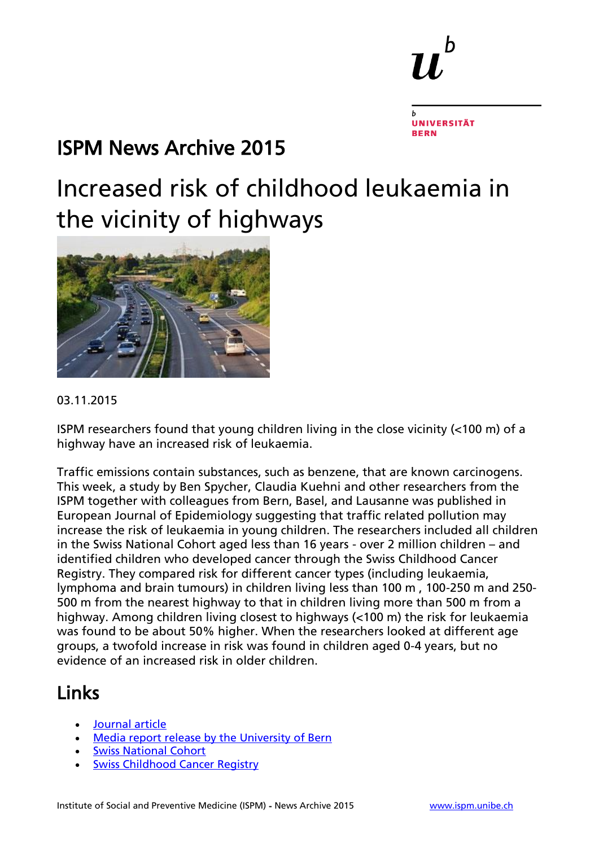b

## ISPM News Archive 2015

# Increased risk of childhood leukaemia in the vicinity of highways



#### 03.11.2015

ISPM researchers found that young children living in the close vicinity (<100 m) of a highway have an increased risk of leukaemia.

Traffic emissions contain substances, such as benzene, that are known carcinogens. This week, a study by Ben Spycher, Claudia Kuehni and other researchers from the ISPM together with colleagues from Bern, Basel, and Lausanne was published in European Journal of Epidemiology suggesting that traffic related pollution may increase the risk of leukaemia in young children. The researchers included all children in the Swiss National Cohort aged less than 16 years - over 2 million children – and identified children who developed cancer through the Swiss Childhood Cancer Registry. They compared risk for different cancer types (including leukaemia, lymphoma and brain tumours) in children living less than 100 m , 100-250 m and 250- 500 m from the nearest highway to that in children living more than 500 m from a highway. Among children living closest to highways (<100 m) the risk for leukaemia was found to be about 50% higher. When the researchers looked at different age groups, a twofold increase in risk was found in children aged 0-4 years, but no evidence of an increased risk in older children.

- [Journal article](http://link.springer.com/article/10.1007/s10654-015-0091-9)
- [Media report release by the University of Bern](http://www.unibe.ch/aktuell/medien/media_relations/medienmitteilungen/2015/medienmitteilungen_2015/erhoehtes_krebsrisiko_bei_kindern_die_neben_autobahnen_wohnen/index_ger.html)
- [Swiss National Cohort](http://www.swissnationalcohort.ch/)
- [Swiss Childhood Cancer Registry](http://www.childhoodcancerregistry.ch/)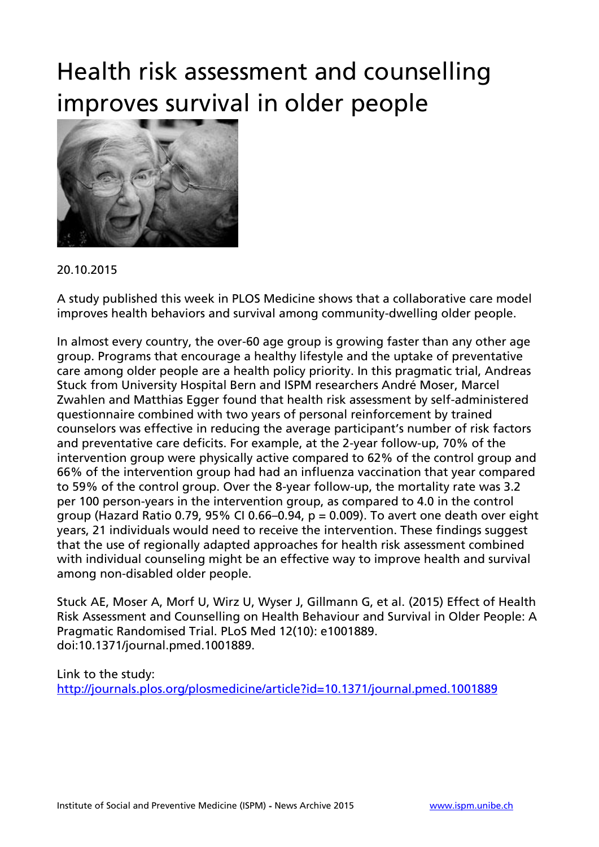# Health risk assessment and counselling improves survival in older people



#### 20.10.2015

A study published this week in PLOS Medicine shows that a collaborative care model improves health behaviors and survival among community-dwelling older people.

In almost every country, the over-60 age group is growing faster than any other age group. Programs that encourage a healthy lifestyle and the uptake of preventative care among older people are a health policy priority. In this pragmatic trial, Andreas Stuck from University Hospital Bern and ISPM researchers André Moser, Marcel Zwahlen and Matthias Egger found that health risk assessment by self-administered questionnaire combined with two years of personal reinforcement by trained counselors was effective in reducing the average participant's number of risk factors and preventative care deficits. For example, at the 2-year follow-up, 70% of the intervention group were physically active compared to 62% of the control group and 66% of the intervention group had had an influenza vaccination that year compared to 59% of the control group. Over the 8-year follow-up, the mortality rate was 3.2 per 100 person-years in the intervention group, as compared to 4.0 in the control group (Hazard Ratio 0.79, 95% CJ 0.66–0.94,  $p = 0.009$ ). To avert one death over eight years, 21 individuals would need to receive the intervention. These findings suggest that the use of regionally adapted approaches for health risk assessment combined with individual counseling might be an effective way to improve health and survival among non-disabled older people.

Stuck AE, Moser A, Morf U, Wirz U, Wyser J, Gillmann G, et al. (2015) Effect of Health Risk Assessment and Counselling on Health Behaviour and Survival in Older People: A Pragmatic Randomised Trial. PLoS Med 12(10): e1001889. doi:10.1371/journal.pmed.1001889.

Link to the study: <http://journals.plos.org/plosmedicine/article?id=10.1371/journal.pmed.1001889>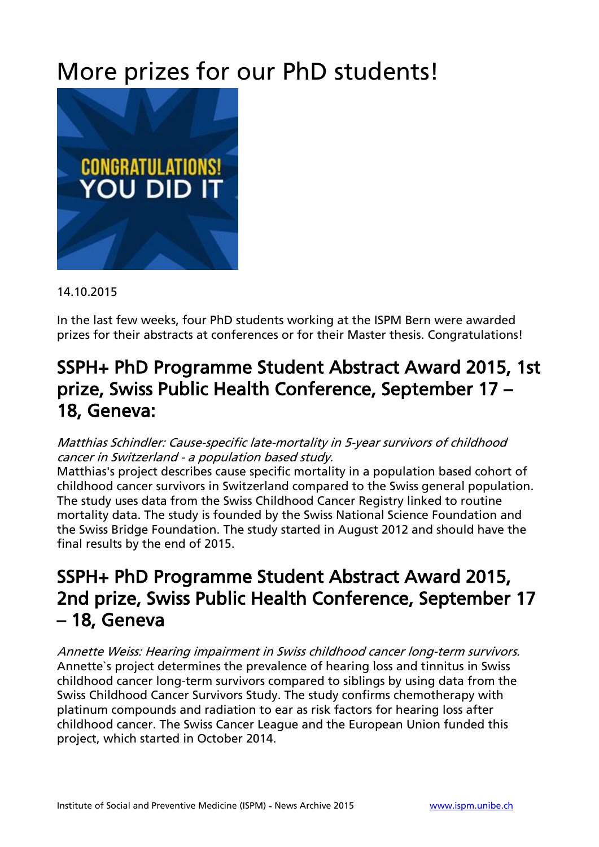# More prizes for our PhD students!



#### 14.10.2015

In the last few weeks, four PhD students working at the ISPM Bern were awarded prizes for their abstracts at conferences or for their Master thesis. Congratulations!

## SSPH+ PhD Programme Student Abstract Award 2015, 1st prize, Swiss Public Health Conference, September 17 – 18, Geneva:

#### Matthias Schindler: Cause-specific late-mortality in 5-year survivors of childhood cancer in Switzerland - a population based study.

Matthias's project describes cause specific mortality in a population based cohort of childhood cancer survivors in Switzerland compared to the Swiss general population. The study uses data from the Swiss Childhood Cancer Registry linked to routine mortality data. The study is founded by the Swiss National Science Foundation and the Swiss Bridge Foundation. The study started in August 2012 and should have the final results by the end of 2015.

## SSPH+ PhD Programme Student Abstract Award 2015, 2nd prize, Swiss Public Health Conference, September 17 – 18, Geneva

Annette Weiss: Hearing impairment in Swiss childhood cancer long-term survivors. Annette`s project determines the prevalence of hearing loss and tinnitus in Swiss childhood cancer long-term survivors compared to siblings by using data from the Swiss Childhood Cancer Survivors Study. The study confirms chemotherapy with platinum compounds and radiation to ear as risk factors for hearing loss after childhood cancer. The Swiss Cancer League and the European Union funded this project, which started in October 2014.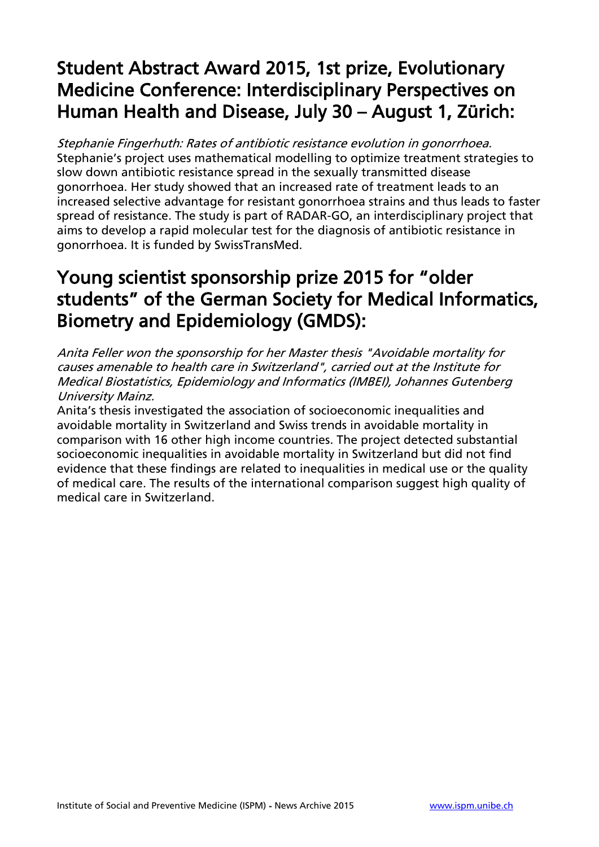## Student Abstract Award 2015, 1st prize, Evolutionary Medicine Conference: Interdisciplinary Perspectives on Human Health and Disease, July 30 – August 1, Zürich:

Stephanie Fingerhuth: Rates of antibiotic resistance evolution in gonorrhoea. Stephanie's project uses mathematical modelling to optimize treatment strategies to slow down antibiotic resistance spread in the sexually transmitted disease gonorrhoea. Her study showed that an increased rate of treatment leads to an increased selective advantage for resistant gonorrhoea strains and thus leads to faster spread of resistance. The study is part of RADAR-GO, an interdisciplinary project that aims to develop a rapid molecular test for the diagnosis of antibiotic resistance in gonorrhoea. It is funded by SwissTransMed.

## Young scientist sponsorship prize 2015 for "older students" of the German Society for Medical Informatics, Biometry and Epidemiology (GMDS):

Anita Feller won the sponsorship for her Master thesis "Avoidable mortality for causes amenable to health care in Switzerland", carried out at the Institute for Medical Biostatistics, Epidemiology and Informatics (IMBEI), Johannes Gutenberg University Mainz.

Anita's thesis investigated the association of socioeconomic inequalities and avoidable mortality in Switzerland and Swiss trends in avoidable mortality in comparison with 16 other high income countries. The project detected substantial socioeconomic inequalities in avoidable mortality in Switzerland but did not find evidence that these findings are related to inequalities in medical use or the quality of medical care. The results of the international comparison suggest high quality of medical care in Switzerland.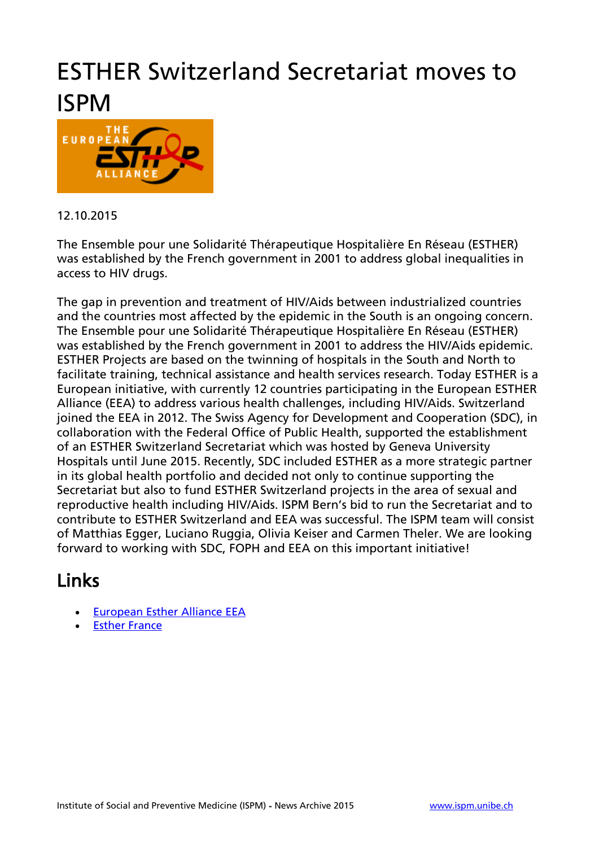# ESTHER Switzerland Secretariat moves to ISPM



#### 12.10.2015

The Ensemble pour une Solidarité Thérapeutique Hospitalière En Réseau (ESTHER) was established by the French government in 2001 to address global inequalities in access to HIV drugs.

The gap in prevention and treatment of HIV/Aids between industrialized countries and the countries most affected by the epidemic in the South is an ongoing concern. The Ensemble pour une Solidarité Thérapeutique Hospitalière En Réseau (ESTHER) was established by the French government in 2001 to address the HIV/Aids epidemic. ESTHER Projects are based on the twinning of hospitals in the South and North to facilitate training, technical assistance and health services research. Today ESTHER is a European initiative, with currently 12 countries participating in the European ESTHER Alliance (EEA) to address various health challenges, including HIV/Aids. Switzerland joined the EEA in 2012. The Swiss Agency for Development and Cooperation (SDC), in collaboration with the Federal Office of Public Health, supported the establishment of an ESTHER Switzerland Secretariat which was hosted by Geneva University Hospitals until June 2015. Recently, SDC included ESTHER as a more strategic partner in its global health portfolio and decided not only to continue supporting the Secretariat but also to fund ESTHER Switzerland projects in the area of sexual and reproductive health including HIV/Aids. ISPM Bern's bid to run the Secretariat and to contribute to ESTHER Switzerland and EEA was successful. The ISPM team will consist of Matthias Egger, Luciano Ruggia, Olivia Keiser and Carmen Theler. We are looking forward to working with SDC, FOPH and EEA on this important initiative!

- [European Esther Alliance EEA](http://www.esther.eu/)
- [Esther France](http://www.esther.fr/en/)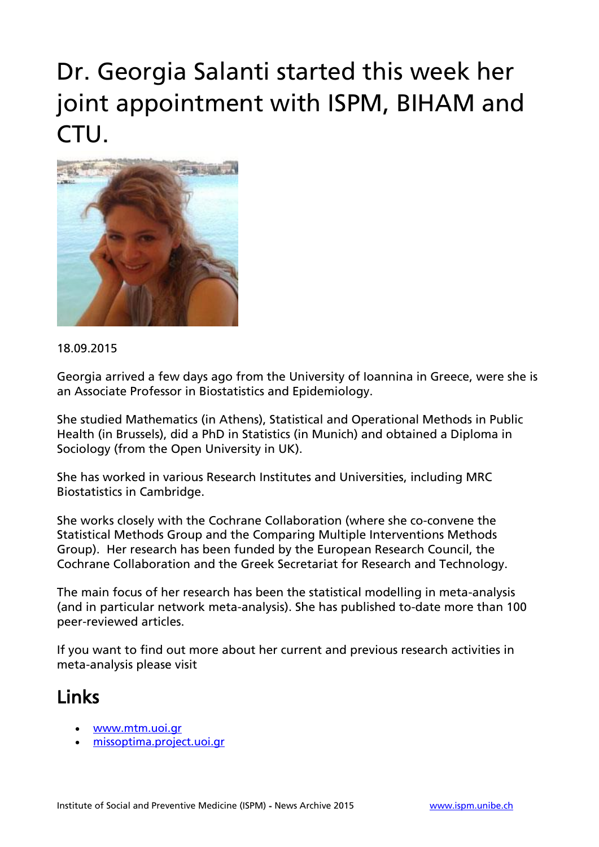# Dr. Georgia Salanti started this week her joint appointment with ISPM, BIHAM and CTU.



#### 18.09.2015

Georgia arrived a few days ago from the University of Ioannina in Greece, were she is an Associate Professor in Biostatistics and Epidemiology.

She studied Mathematics (in Athens), Statistical and Operational Methods in Public Health (in Brussels), did a PhD in Statistics (in Munich) and obtained a Diploma in Sociology (from the Open University in UK).

She has worked in various Research Institutes and Universities, including MRC Biostatistics in Cambridge.

She works closely with the Cochrane Collaboration (where she co-convene the Statistical Methods Group and the Comparing Multiple Interventions Methods Group). Her research has been funded by the European Research Council, the Cochrane Collaboration and the Greek Secretariat for Research and Technology.

The main focus of her research has been the statistical modelling in meta-analysis (and in particular network meta-analysis). She has published to-date more than 100 peer-reviewed articles.

If you want to find out more about her current and previous research activities in meta-analysis please visit

- [www.mtm.uoi.gr](http://www.mtm.uoi.gr/)
- [missoptima.project.uoi.gr](http://missoptima.project.uoi.gr/)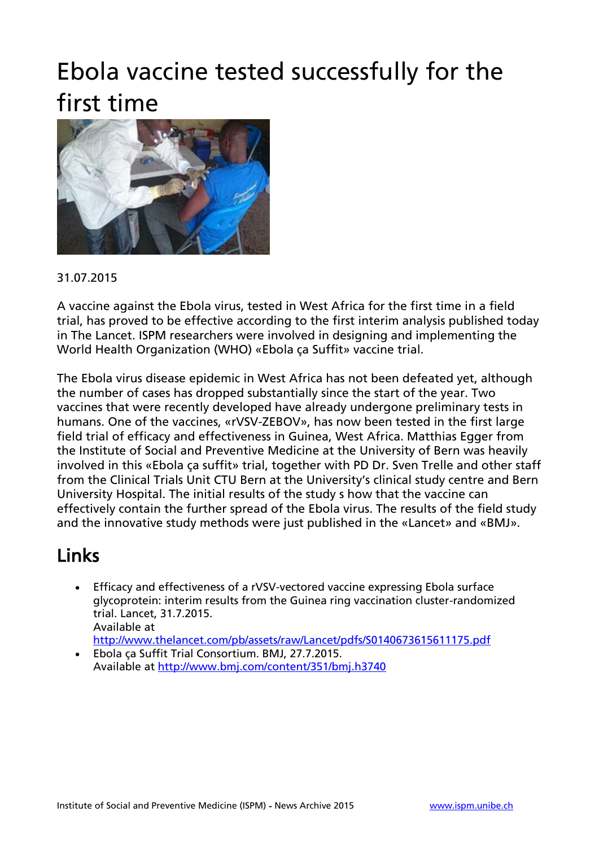# Ebola vaccine tested successfully for the first time



#### 31.07.2015

A vaccine against the Ebola virus, tested in West Africa for the first time in a field trial, has proved to be effective according to the first interim analysis published today in The Lancet. ISPM researchers were involved in designing and implementing the World Health Organization (WHO) «Ebola ça Suffit» vaccine trial.

The Ebola virus disease epidemic in West Africa has not been defeated yet, although the number of cases has dropped substantially since the start of the year. Two vaccines that were recently developed have already undergone preliminary tests in humans. One of the vaccines, «rVSV-ZEBOV», has now been tested in the first large field trial of efficacy and effectiveness in Guinea, West Africa. Matthias Egger from the Institute of Social and Preventive Medicine at the University of Bern was heavily involved in this «Ebola ça suffit» trial, together with PD Dr. Sven Trelle and other staff from the Clinical Trials Unit CTU Bern at the University's clinical study centre and Bern University Hospital. The initial results of the study s how that the vaccine can effectively contain the further spread of the Ebola virus. The results of the field study and the innovative study methods were just published in the «Lancet» and «BMJ».

- Efficacy and effectiveness of a rVSV-vectored vaccine expressing Ebola surface glycoprotein: interim results from the Guinea ring vaccination cluster-randomized trial. Lancet, 31.7.2015. Available at
- <http://www.thelancet.com/pb/assets/raw/Lancet/pdfs/S0140673615611175.pdf> Ebola ça Suffit Trial Consortium. BMJ, 27.7.2015. Available at<http://www.bmj.com/content/351/bmj.h3740>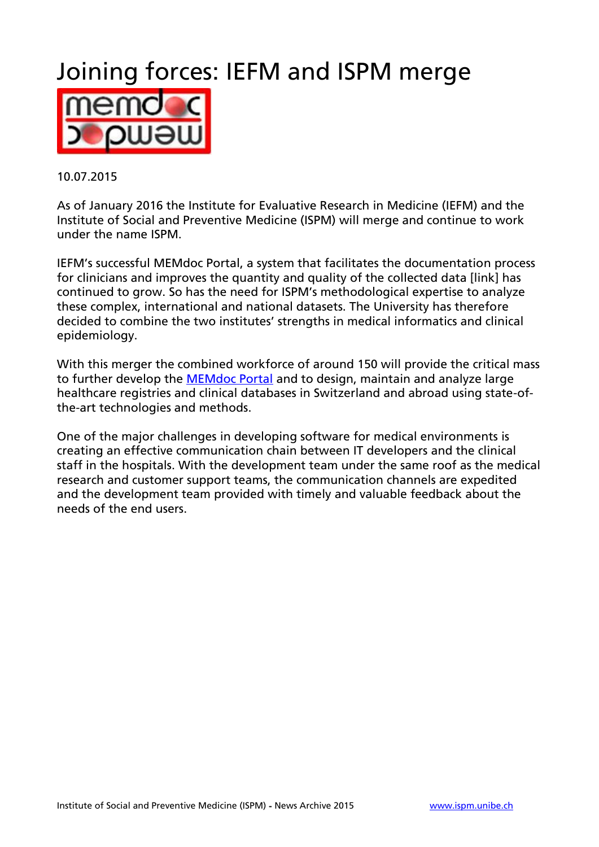# Joining forces: IEFM and ISPM merge

10.07.2015

As of January 2016 the Institute for Evaluative Research in Medicine (IEFM) and the Institute of Social and Preventive Medicine (ISPM) will merge and continue to work under the name ISPM.

IEFM's successful MEMdoc Portal, a system that facilitates the documentation process for clinicians and improves the quantity and quality of the collected data [link] has continued to grow. So has the need for ISPM's methodological expertise to analyze these complex, international and national datasets. The University has therefore decided to combine the two institutes' strengths in medical informatics and clinical epidemiology.

With this merger the combined workforce of around 150 will provide the critical mass to further develop the **MEMdoc Portal** and to design, maintain and analyze large healthcare registries and clinical databases in Switzerland and abroad using state-ofthe-art technologies and methods.

One of the major challenges in developing software for medical environments is creating an effective communication chain between IT developers and the clinical staff in the hospitals. With the development team under the same roof as the medical research and customer support teams, the communication channels are expedited and the development team provided with timely and valuable feedback about the needs of the end users.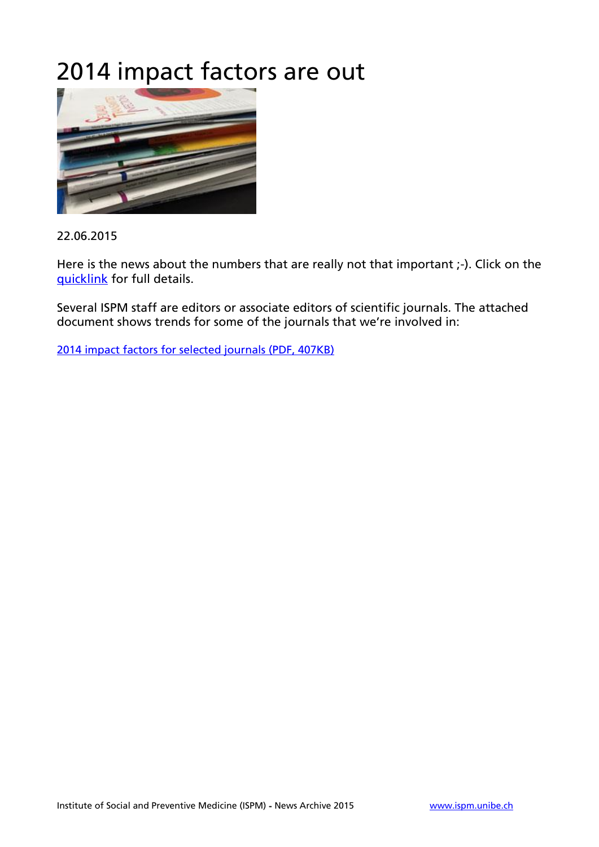# 2014 impact factors are out



#### 22.06.2015

Here is the news about the numbers that are really not that important ;-). Click on the [quicklink](http://admin-apps.webofknowledge.com/JCR/JCR?PointOfEntry=Home) for full details.

Several ISPM staff are editors or associate editors of scientific journals. The attached document shows trends for some of the journals that we're involved in:

[2014 impact factors for selected journals \(PDF, 407KB\)](http://www.ispm.unibe.ch/unibe/portal/fak_medizin/ber_vkhum/inst_smp/content/e93993/e95206/e205983/e205993/news_0615_IF2014_report_eng.pdf)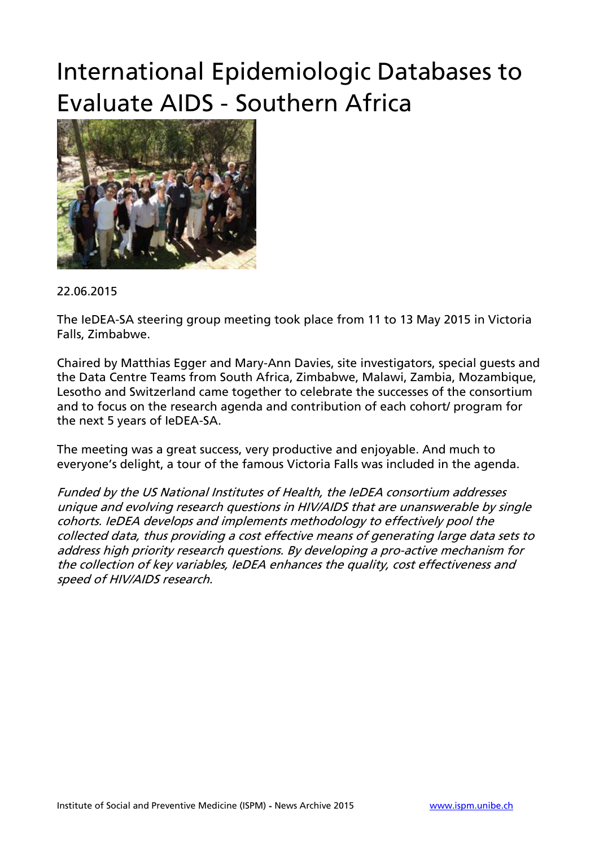# International Epidemiologic Databases to Evaluate AIDS - Southern Africa



#### 22.06.2015

The IeDEA-SA steering group meeting took place from 11 to 13 May 2015 in Victoria Falls, Zimbabwe.

Chaired by Matthias Egger and Mary-Ann Davies, site investigators, special guests and the Data Centre Teams from South Africa, Zimbabwe, Malawi, Zambia, Mozambique, Lesotho and Switzerland came together to celebrate the successes of the consortium and to focus on the research agenda and contribution of each cohort/ program for the next 5 years of IeDEA-SA.

The meeting was a great success, very productive and enjoyable. And much to everyone's delight, a tour of the famous Victoria Falls was included in the agenda.

Funded by the US National Institutes of Health, the IeDEA consortium addresses unique and evolving research questions in HIV/AIDS that are unanswerable by single cohorts. IeDEA develops and implements methodology to effectively pool the collected data, thus providing a cost effective means of generating large data sets to address high priority research questions. By developing a pro-active mechanism for the collection of key variables, IeDEA enhances the quality, cost effectiveness and speed of HIV/AIDS research.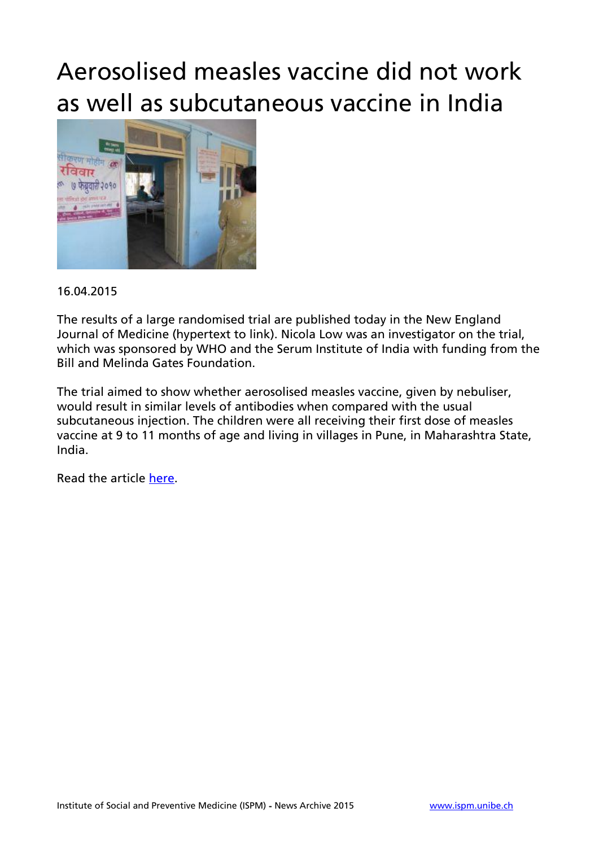# Aerosolised measles vaccine did not work as well as subcutaneous vaccine in India



#### 16.04.2015

The results of a large randomised trial are published today in the New England Journal of Medicine (hypertext to link). Nicola Low was an investigator on the trial, which was sponsored by WHO and the Serum Institute of India with funding from the Bill and Melinda Gates Foundation.

The trial aimed to show whether aerosolised measles vaccine, given by nebuliser, would result in similar levels of antibodies when compared with the usual subcutaneous injection. The children were all receiving their first dose of measles vaccine at 9 to 11 months of age and living in villages in Pune, in Maharashtra State, India.

Read the article [here.](http://www.nejm.org/doi/full/10.1056/NEJMoa1407417)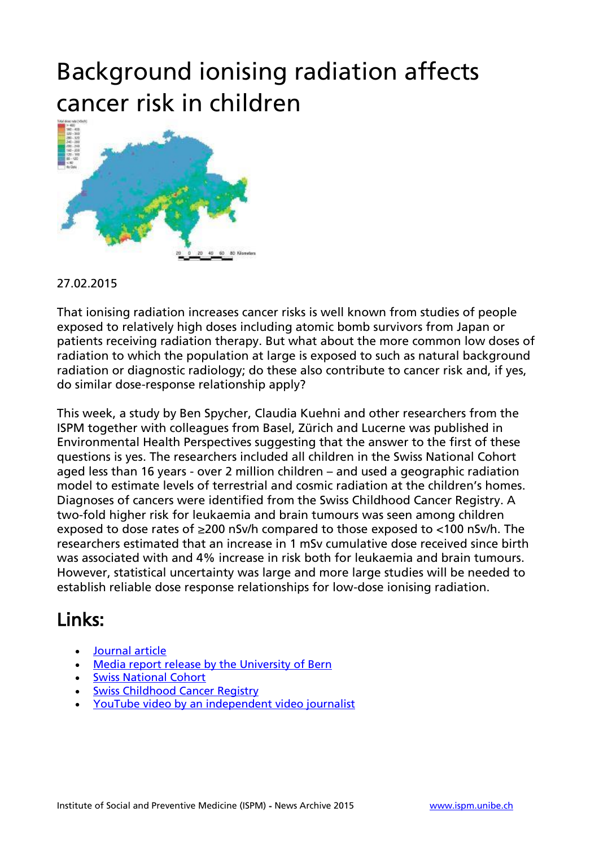# Background ionising radiation affects cancer risk in children



#### 27.02.2015

That ionising radiation increases cancer risks is well known from studies of people exposed to relatively high doses including atomic bomb survivors from Japan or patients receiving radiation therapy. But what about the more common low doses of radiation to which the population at large is exposed to such as natural background radiation or diagnostic radiology; do these also contribute to cancer risk and, if yes, do similar dose-response relationship apply?

This week, a study by Ben Spycher, Claudia Kuehni and other researchers from the ISPM together with colleagues from Basel, Zürich and Lucerne was published in Environmental Health Perspectives suggesting that the answer to the first of these questions is yes. The researchers included all children in the Swiss National Cohort aged less than 16 years - over 2 million children – and used a geographic radiation model to estimate levels of terrestrial and cosmic radiation at the children's homes. Diagnoses of cancers were identified from the Swiss Childhood Cancer Registry. A two-fold higher risk for leukaemia and brain tumours was seen among children exposed to dose rates of ≥200 nSv/h compared to those exposed to <100 nSv/h. The researchers estimated that an increase in 1 mSv cumulative dose received since birth was associated with and 4% increase in risk both for leukaemia and brain tumours. However, statistical uncertainty was large and more large studies will be needed to establish reliable dose response relationships for low-dose ionising radiation.

- [Journal article](http://ehp.niehs.nih.gov/wp-content/uploads/advpub/2015/2/ehp.1408548.acco.pdf)
- [Media report release by the University of Bern](http://www.kommunikation.unibe.ch/content/medien/medienmitteilungen/news/2015/hintergrundstrahlung/index_ger.html)
- **[Swiss National Cohort](http://www.swissnationalcohort.ch/)**
- **[Swiss Childhood Cancer Registry](http://www.childhoodcancerregistry.ch/)**
- [YouTube video by an independent video journalist](https://youtu.be/XTijIRsxTSE)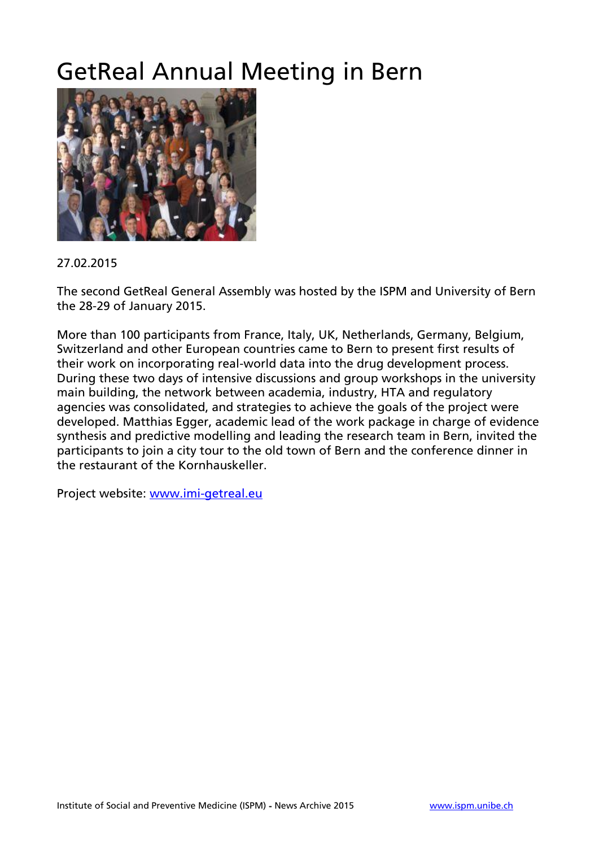# GetReal Annual Meeting in Bern



#### 27.02.2015

The second GetReal General Assembly was hosted by the ISPM and University of Bern the 28-29 of January 2015.

More than 100 participants from France, Italy, UK, Netherlands, Germany, Belgium, Switzerland and other European countries came to Bern to present first results of their work on incorporating real-world data into the drug development process. During these two days of intensive discussions and group workshops in the university main building, the network between academia, industry, HTA and regulatory agencies was consolidated, and strategies to achieve the goals of the project were developed. Matthias Egger, academic lead of the work package in charge of evidence synthesis and predictive modelling and leading the research team in Bern, invited the participants to join a city tour to the old town of Bern and the conference dinner in the restaurant of the Kornhauskeller.

Project website: [www.imi-getreal.eu](http://www.imi-getreal.eu/)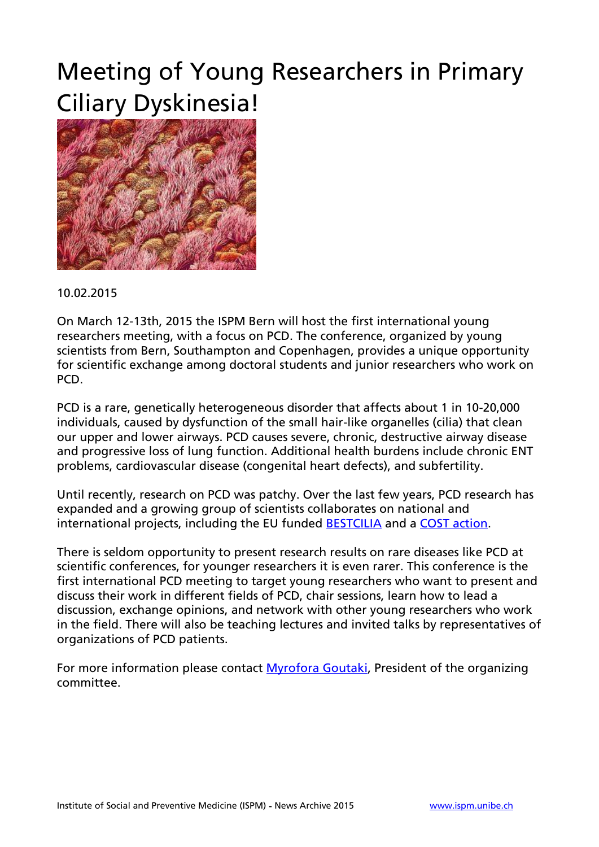# Meeting of Young Researchers in Primary Ciliary Dyskinesia!



10.02.2015

On March 12-13th, 2015 the ISPM Bern will host the first international young researchers meeting, with a focus on PCD. The conference, organized by young scientists from Bern, Southampton and Copenhagen, provides a unique opportunity for scientific exchange among doctoral students and junior researchers who work on PCD.

PCD is a rare, genetically heterogeneous disorder that affects about 1 in 10-20,000 individuals, caused by dysfunction of the small hair-like organelles (cilia) that clean our upper and lower airways. PCD causes severe, chronic, destructive airway disease and progressive loss of lung function. Additional health burdens include chronic ENT problems, cardiovascular disease (congenital heart defects), and subfertility.

Until recently, research on PCD was patchy. Over the last few years, PCD research has expanded and a growing group of scientists collaborates on national and international projects, including the EU funded **BESTCILIA** and a [COST action.](http://www.cost.eu/COST_Actions/bmbs/Actions/BM1407)

There is seldom opportunity to present research results on rare diseases like PCD at scientific conferences, for younger researchers it is even rarer. This conference is the first international PCD meeting to target young researchers who want to present and discuss their work in different fields of PCD, chair sessions, learn how to lead a discussion, exchange opinions, and network with other young researchers who work in the field. There will also be teaching lectures and invited talks by representatives of organizations of PCD patients.

For more information please contact [Myrofora Goutaki,](javascript:void(location.href=) President of the organizing committee.